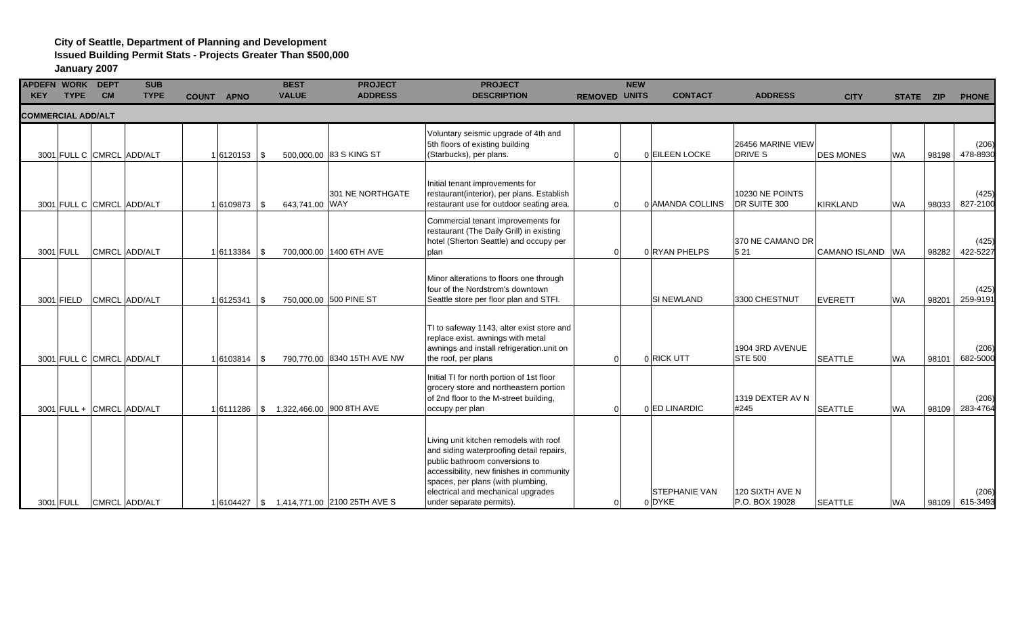# **City of Seattle, Department of Planning and Development**

**Issued Building Permit Stats - Projects Greater Than \$500,000**

| APDEFN WORK DEPT<br><b>KEY</b> | <b>TYPE</b> | <b>CM</b> | <b>SUB</b><br><b>TYPE</b> | COUNT APNO |                 |      | <b>BEST</b><br><b>VALUE</b> | <b>PROJECT</b><br><b>ADDRESS</b> | <b>PROJECT</b><br><b>DESCRIPTION</b>                                                                                                                                                                                                                                    | <b>REMOVED UNITS</b> | <b>NEW</b> | <b>CONTACT</b>                 | <b>ADDRESS</b>                      | <b>CITY</b>      | STATE ZIP |       | <b>PHONE</b>      |
|--------------------------------|-------------|-----------|---------------------------|------------|-----------------|------|-----------------------------|----------------------------------|-------------------------------------------------------------------------------------------------------------------------------------------------------------------------------------------------------------------------------------------------------------------------|----------------------|------------|--------------------------------|-------------------------------------|------------------|-----------|-------|-------------------|
| <b>COMMERCIAL ADD/ALT</b>      |             |           |                           |            |                 |      |                             |                                  |                                                                                                                                                                                                                                                                         |                      |            |                                |                                     |                  |           |       |                   |
|                                |             |           | 3001 FULL C CMRCL ADD/ALT |            | 1 6120153       | l \$ |                             | 500,000.00 83 S KING ST          | Voluntary seismic upgrade of 4th and<br>5th floors of existing building<br>(Starbucks), per plans.                                                                                                                                                                      |                      |            | 0 EILEEN LOCKE                 | 26456 MARINE VIEW<br><b>DRIVE S</b> | <b>DES MONES</b> | <b>WA</b> | 98198 | (206)<br>478-8930 |
|                                |             |           | 3001 FULL C CMRCL ADD/ALT |            | 1 6109873       | - \$ | 643,741.00 WAY              | 301 NE NORTHGATE                 | Initial tenant improvements for<br>restaurant(interior), per plans. Establish<br>restaurant use for outdoor seating area.                                                                                                                                               | $\Omega$             |            | 0 AMANDA COLLINS               | 10230 NE POINTS<br>DR SUITE 300     | <b>KIRKLAND</b>  | WA        | 98033 | (425)<br>827-2100 |
|                                | 3001 FULL   |           | CMRCL ADD/ALT             |            | 1 6113384       | l \$ |                             | 700,000.00 1400 6TH AVE          | Commercial tenant improvements for<br>restaurant (The Daily Grill) in existing<br>hotel (Sherton Seattle) and occupy per<br>plan                                                                                                                                        | $\Omega$             |            | 0 RYAN PHELPS                  | 370 NE CAMANO DR<br>5 21            | CAMANO ISLAND WA |           | 98282 | (425)<br>422-5227 |
|                                | 3001 FIELD  |           | CMRCL ADD/ALT             |            | 1 6125341       | l \$ | 750,000.00 500 PINE ST      |                                  | Minor alterations to floors one through<br>four of the Nordstrom's downtown<br>Seattle store per floor plan and STFI.                                                                                                                                                   |                      |            | <b>SI NEWLAND</b>              | 3300 CHESTNUT                       | <b>EVERETT</b>   | <b>WA</b> | 98201 | (425)<br>259-9191 |
|                                |             |           | 3001 FULL C CMRCL ADD/ALT |            | 1 6103814       | - \$ |                             | 790,770.00 8340 15TH AVE NW      | TI to safeway 1143, alter exist store and<br>replace exist. awnings with metal<br>awnings and install refrigeration.unit on<br>the roof, per plans                                                                                                                      | $\Omega$             |            | 0 RICK UTT                     | 1904 3RD AVENUE<br><b>STE 500</b>   | <b>SEATTLE</b>   | <b>WA</b> | 98101 | (206)<br>682-5000 |
|                                |             |           | 3001 FULL + CMRCL ADD/ALT |            | 16111286        | l \$ | 1,322,466.00 900 8TH AVE    |                                  | Initial TI for north portion of 1st floor<br>grocery store and northeastern portion<br>of 2nd floor to the M-street building,<br>occupy per plan                                                                                                                        | $\Omega$             |            | 0 ED LINARDIC                  | 1319 DEXTER AV N<br>#245            | <b>SEATTLE</b>   | <b>WA</b> | 98109 | (206)<br>283-4764 |
|                                | 3001 FULL   |           | CMRCL ADD/ALT             |            | $1 6104427 $ \$ |      |                             | 1,414,771.00 2100 25TH AVE S     | Living unit kitchen remodels with roof<br>and siding waterproofing detail repairs,<br>public bathroom conversions to<br>accessibility, new finishes in community<br>spaces, per plans (with plumbing,<br>electrical and mechanical upgrades<br>under separate permits). | $\Omega$             |            | <b>STEPHANIE VAN</b><br>0 DYKE | 120 SIXTH AVE N<br>P.O. BOX 19028   | <b>SEATTLE</b>   | <b>WA</b> | 98109 | (206)<br>615-3493 |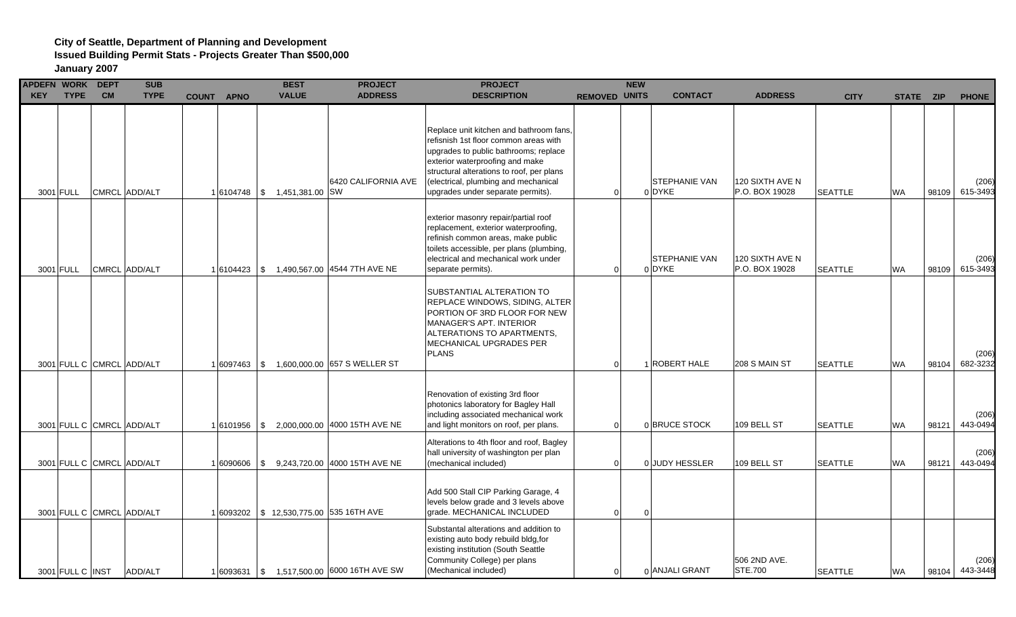| <b>APDEFN WORK</b><br><b>KEY</b> | <b>TYPE</b>      | <b>DEPT</b><br><b>CM</b> | <b>SUB</b><br><b>TYPE</b> | <b>COUNT APNO</b> | <b>BEST</b><br><b>VALUE</b>              | <b>PROJECT</b><br><b>ADDRESS</b>             | <b>PROJECT</b><br><b>DESCRIPTION</b>                                                                                                                                                                                                                                                   | <b>NEW</b><br><b>REMOVED UNITS</b> | <b>CONTACT</b>                 | <b>ADDRESS</b>                    | <b>CITY</b>    |           | STATE ZIP | <b>PHONE</b>      |
|----------------------------------|------------------|--------------------------|---------------------------|-------------------|------------------------------------------|----------------------------------------------|----------------------------------------------------------------------------------------------------------------------------------------------------------------------------------------------------------------------------------------------------------------------------------------|------------------------------------|--------------------------------|-----------------------------------|----------------|-----------|-----------|-------------------|
|                                  | 3001 FULL        |                          | CMRCL ADD/ALT             |                   | 16104748 \$ 1,451,381.00 SW              | 6420 CALIFORNIA AVE                          | Replace unit kitchen and bathroom fans,<br>refisnish 1st floor common areas with<br>upgrades to public bathrooms; replace<br>exterior waterproofing and make<br>structural alterations to roof, per plans<br>(electrical, plumbing and mechanical<br>upgrades under separate permits). | $\Omega$                           | STEPHANIE VAN<br>0 DYKE        | 120 SIXTH AVE N<br>P.O. BOX 19028 | <b>SEATTLE</b> | <b>WA</b> | 98109     | (206)<br>615-3493 |
|                                  | 3001 FULL        |                          | CMRCL ADD/ALT             | 1 6104423         |                                          | \$ 1,490,567.00 4544 7TH AVE NE              | exterior masonry repair/partial roof<br>replacement, exterior waterproofing,<br>refinish common areas, make public<br>toilets accessible, per plans (plumbing,<br>electrical and mechanical work under<br>separate permits).                                                           | 0                                  | <b>STEPHANIE VAN</b><br>0 DYKE | 120 SIXTH AVE N<br>P.O. BOX 19028 | <b>SEATTLE</b> | <b>WA</b> | 98109     | (206)<br>615-3493 |
|                                  |                  |                          | 3001 FULL C CMRCL ADD/ALT |                   |                                          | 1 6097463   \$ 1,600,000.00 657 S WELLER ST  | SUBSTANTIAL ALTERATION TO<br>REPLACE WINDOWS, SIDING, ALTER<br>PORTION OF 3RD FLOOR FOR NEW<br><b>MANAGER'S APT. INTERIOR</b><br>ALTERATIONS TO APARTMENTS,<br>MECHANICAL UPGRADES PER<br><b>PLANS</b>                                                                                 | $\Omega$                           | 1 ROBERT HALE                  | 208 S MAIN ST                     | <b>SEATTLE</b> | <b>WA</b> | 98104     | (206)<br>682-3232 |
|                                  |                  |                          | 3001 FULL C CMRCL ADD/ALT |                   |                                          | 1 6101956   \$ 2,000,000.00 4000 15TH AVE NE | Renovation of existing 3rd floor<br>photonics laboratory for Bagley Hall<br>including associated mechanical work<br>and light monitors on roof, per plans.                                                                                                                             | 0                                  | 0 BRUCE STOCK                  | 109 BELL ST                       | <b>SEATTLE</b> | <b>WA</b> | 98121     | (206)<br>443-0494 |
|                                  |                  |                          | 3001 FULL C CMRCL ADD/ALT |                   |                                          | 1 6090606 \\$ 9,243,720.00 4000 15TH AVE NE  | Alterations to 4th floor and roof, Bagley<br>hall university of washington per plan<br>(mechanical included)                                                                                                                                                                           | $\Omega$                           | 0 JUDY HESSLER                 | 109 BELL ST                       | <b>SEATTLE</b> | <b>WA</b> | 98121     | (206)<br>443-0494 |
|                                  |                  |                          | 3001 FULL C CMRCL ADD/ALT |                   | 1 6093202   \$12,530,775.00 535 16TH AVE |                                              | Add 500 Stall CIP Parking Garage, 4<br>levels below grade and 3 levels above<br>grade. MECHANICAL INCLUDED                                                                                                                                                                             | $\Omega$                           | $\Omega$                       |                                   |                |           |           |                   |
|                                  | 3001 FULL C INST |                          | ADD/ALT                   |                   |                                          | 1 6093631   \$ 1,517,500.00 6000 16TH AVE SW | Substantal alterations and addition to<br>existing auto body rebuild bldg, for<br>existing institution (South Seattle<br>Community College) per plans<br>(Mechanical included)                                                                                                         | 0                                  | 0 ANJALI GRANT                 | 506 2ND AVE.<br>STE.700           | <b>SEATTLE</b> | <b>WA</b> | 98104     | (206)<br>443-3448 |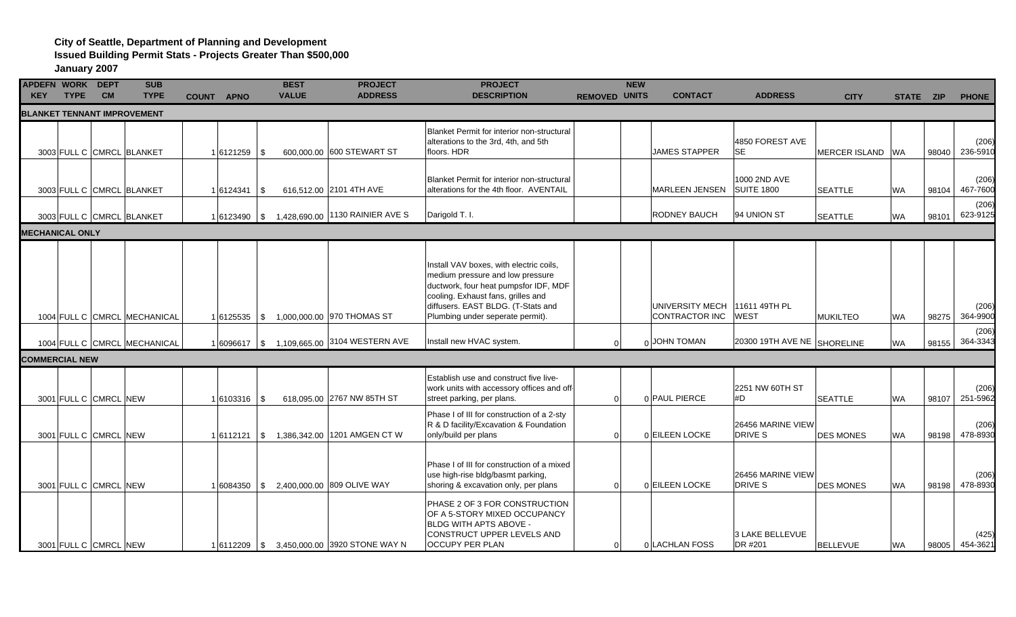#### **City of Seattle, Department of Planning and Development**

**Issued Building Permit Stats - Projects Greater Than \$500,000**

| <b>APDEFN WORK DEPT</b><br><b>KEY</b> | <b>TYPE</b> | <b>CM</b>             | <b>SUB</b><br><b>TYPE</b>          | <b>COUNT APNO</b> |      | <b>BEST</b><br><b>VALUE</b> | <b>PROJECT</b><br><b>ADDRESS</b>                 | <b>PROJECT</b><br><b>DESCRIPTION</b>                                                                                                                                                                                                 | <b>REMOVED UNITS</b> | <b>NEW</b> | <b>CONTACT</b>                    | <b>ADDRESS</b>                    | <b>CITY</b>      | STATE ZIP |       | <b>PHONE</b>      |
|---------------------------------------|-------------|-----------------------|------------------------------------|-------------------|------|-----------------------------|--------------------------------------------------|--------------------------------------------------------------------------------------------------------------------------------------------------------------------------------------------------------------------------------------|----------------------|------------|-----------------------------------|-----------------------------------|------------------|-----------|-------|-------------------|
|                                       |             |                       | <b>BLANKET TENNANT IMPROVEMENT</b> |                   |      |                             |                                                  |                                                                                                                                                                                                                                      |                      |            |                                   |                                   |                  |           |       |                   |
|                                       |             |                       | 3003 FULL C CMRCL BLANKET          | 16121259          | l \$ |                             | 600,000.00 600 STEWART ST                        | Blanket Permit for interior non-structural<br>alterations to the 3rd, 4th, and 5th<br>floors. HDR                                                                                                                                    |                      |            | <b>JAMES STAPPER</b>              | 4850 FOREST AVE<br><b>SE</b>      | MERCER ISLAND WA |           | 98040 | (206)<br>236-5910 |
|                                       |             |                       | 3003 FULL C CMRCL BLANKET          | 1 6124341         | - \$ |                             | 616,512.00 2101 4TH AVE                          | <b>Blanket Permit for interior non-structural</b><br>alterations for the 4th floor. AVENTAIL                                                                                                                                         |                      |            | MARLEEN JENSEN                    | 1000 2ND AVE<br><b>SUITE 1800</b> | <b>SEATTLE</b>   | <b>WA</b> | 98104 | (206)<br>467-7600 |
|                                       |             |                       | 3003 FULL C CMRCL BLANKET          |                   |      |                             | 1 6123490   \$ 1,428,690.00   1130 RAINIER AVE S | Darigold T. I.                                                                                                                                                                                                                       |                      |            | RODNEY BAUCH                      | 94 UNION ST                       | <b>SEATTLE</b>   | <b>WA</b> | 98101 | (206)<br>623-9125 |
| <b>MECHANICAL ONLY</b>                |             |                       |                                    |                   |      |                             |                                                  |                                                                                                                                                                                                                                      |                      |            |                                   |                                   |                  |           |       |                   |
|                                       |             |                       | 1004 FULL C CMRCL MECHANICAL       |                   |      |                             | 1 6125535   \$ 1,000,000.00   970 THOMAS ST      | Install VAV boxes, with electric coils,<br>medium pressure and low pressure<br>ductwork, four heat pumpsfor IDF, MDF<br>cooling. Exhaust fans, grilles and<br>diffusers. EAST BLDG. (T-Stats and<br>Plumbing under seperate permit). |                      |            | UNIVERSITY MECH<br>CONTRACTOR INC | 11611 49TH PL<br><b>WEST</b>      | <b>MUKILTEO</b>  | <b>WA</b> | 98275 | (206)<br>364-9900 |
|                                       |             |                       | 1004 FULL C CMRCL MECHANICAL       |                   |      |                             |                                                  | Install new HVAC system.                                                                                                                                                                                                             |                      |            | 0 JOHN TOMAN                      | 20300 19TH AVE NE SHORELINE       |                  | <b>WA</b> | 98155 | (206)<br>364-3343 |
| <b>COMMERCIAL NEW</b>                 |             |                       |                                    |                   |      |                             |                                                  |                                                                                                                                                                                                                                      |                      |            |                                   |                                   |                  |           |       |                   |
|                                       |             | 3001 FULL C CMRCL NEW |                                    | $1 6103316 $ \$   |      |                             | 618,095.00 2767 NW 85TH ST                       | Establish use and construct five live-<br>work units with accessory offices and off-<br>street parking, per plans.                                                                                                                   | $\Omega$             |            | 0 PAUL PIERCE                     | 2251 NW 60TH ST<br>#D             | <b>SEATTLE</b>   | <b>WA</b> | 98107 | (206)<br>251-5962 |
|                                       |             | 3001 FULL C CMRCL NEW |                                    | $1 6112121 $ \$   |      |                             | 1,386,342.00 1201 AMGEN CT W                     | Phase I of III for construction of a 2-sty<br>R & D facility/Excavation & Foundation<br>only/build per plans                                                                                                                         | $\Omega$             |            | 0 EILEEN LOCKE                    | 26456 MARINE VIEW<br>DRIVE S      | <b>DES MONES</b> | <b>WA</b> | 98198 | (206)<br>478-8930 |
|                                       |             | 3001 FULL C CMRCL NEW |                                    |                   |      |                             | 1 6084350 \\$ 2,400,000.00 809 OLIVE WAY         | Phase I of III for construction of a mixed<br>use high-rise bldg/basmt parking,<br>shoring & excavation only, per plans                                                                                                              | $\Omega$             |            | 0 EILEEN LOCKE                    | 26456 MARINE VIEW<br>DRIVE S      | <b>DES MONES</b> | <b>WA</b> | 98198 | (206)<br>478-8930 |
|                                       |             | 3001 FULL C CMRCL NEW |                                    |                   |      |                             | 1 6112209   \$ 3,450,000.00 3920 STONE WAY N     | PHASE 2 OF 3 FOR CONSTRUCTION<br>OF A 5-STORY MIXED OCCUPANCY<br>BLDG WITH APTS ABOVE -<br>CONSTRUCT UPPER LEVELS AND<br><b>OCCUPY PER PLAN</b>                                                                                      | $\Omega$             |            | 0 LACHLAN FOSS                    | <b>3 LAKE BELLEVUE</b><br>DR #201 | <b>BELLEVUE</b>  | <b>WA</b> | 98005 | (425)<br>454-3621 |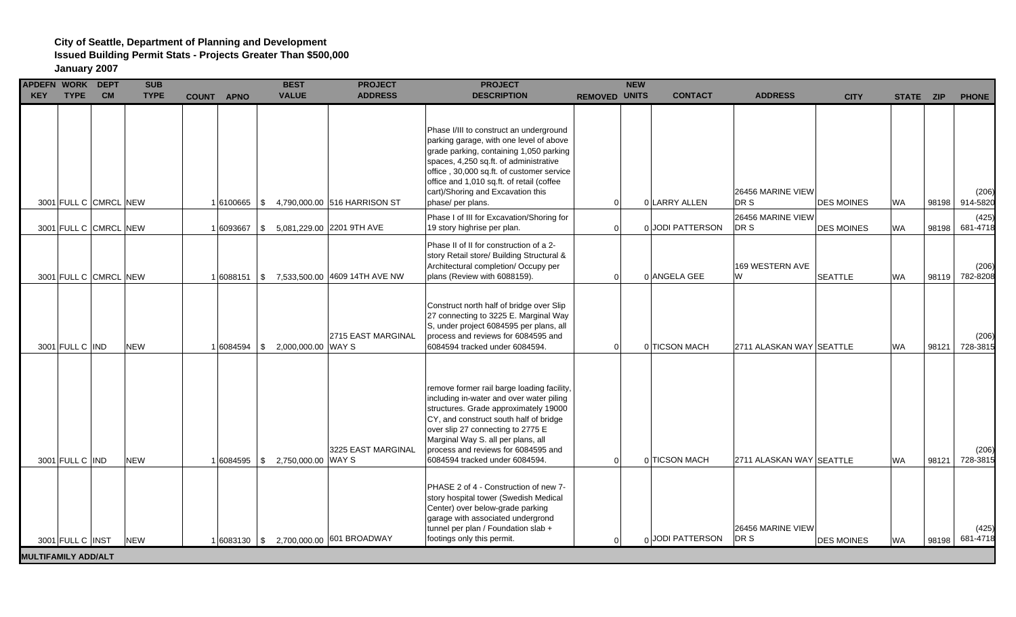| APDEFN WORK DEPT           |                  |                       | <b>SUB</b>  |                   | <b>BEST</b>                              | <b>PROJECT</b>                | <b>PROJECT</b>                                                                                                                                                                                                                                                                                                                |                      | <b>NEW</b> |                  |                           |                   |           |       |                   |
|----------------------------|------------------|-----------------------|-------------|-------------------|------------------------------------------|-------------------------------|-------------------------------------------------------------------------------------------------------------------------------------------------------------------------------------------------------------------------------------------------------------------------------------------------------------------------------|----------------------|------------|------------------|---------------------------|-------------------|-----------|-------|-------------------|
| <b>KEY</b>                 | <b>TYPE</b>      | <b>CM</b>             | <b>TYPE</b> | <b>COUNT APNO</b> | <b>VALUE</b>                             | <b>ADDRESS</b>                | <b>DESCRIPTION</b>                                                                                                                                                                                                                                                                                                            | <b>REMOVED UNITS</b> |            | <b>CONTACT</b>   | <b>ADDRESS</b>            | <b>CITY</b>       | STATE ZIP |       | <b>PHONE</b>      |
|                            |                  | 3001 FULL C CMRCL NEW |             | $1 6100665 $ \$   |                                          | 4,790,000.00 516 HARRISON ST  | Phase I/III to construct an underground<br>parking garage, with one level of above<br>grade parking, containing 1,050 parking<br>spaces, 4,250 sq.ft. of administrative<br>office, 30,000 sq.ft. of customer service<br>office and 1,010 sq.ft. of retail (coffee<br>cart)/Shoring and Excavation this<br>phase/ per plans.   | $\Omega$             |            | 0 LARRY ALLEN    | 26456 MARINE VIEW<br>DR S | <b>DES MOINES</b> | <b>WA</b> | 98198 | (206)<br>914-5820 |
|                            |                  | 3001 FULL C CMRCL NEW |             | 1 6093667         | \$                                       | 5,081,229.00 2201 9TH AVE     | Phase I of III for Excavation/Shoring for<br>19 story highrise per plan.                                                                                                                                                                                                                                                      |                      |            | 0 JODI PATTERSON | 26456 MARINE VIEW<br>DR S | <b>DES MOINES</b> | <b>WA</b> | 98198 | (425)<br>681-4718 |
|                            |                  | 3001 FULL C CMRCL NEW |             | 1 6088151         | \$                                       | 7,533,500.00 4609 14TH AVE NW | Phase II of II for construction of a 2-<br>story Retail store/ Building Structural &<br>Architectural completion/ Occupy per<br>plans (Review with 6088159).                                                                                                                                                                  | $\Omega$             |            | 0 ANGELA GEE     | 169 WESTERN AVE<br>W      | <b>SEATTLE</b>    | <b>WA</b> | 98119 | (206)<br>782-8208 |
|                            | 3001 FULL C IND  |                       | <b>NEW</b>  | 1 6084594         | 2,000,000.00 WAY S<br>\$                 | 2715 EAST MARGINAL            | Construct north half of bridge over Slip<br>27 connecting to 3225 E. Marginal Way<br>S, under project 6084595 per plans, all<br>process and reviews for 6084595 and<br>6084594 tracked under 6084594.                                                                                                                         | $\Omega$             |            | 0 TICSON MACH    | 2711 ALASKAN WAY SEATTLE  |                   | <b>WA</b> | 98121 | (206)<br>728-3815 |
|                            | 3001 FULL C IND  |                       | <b>NEW</b>  | 1 6084595         | 2,750,000.00 WAY S<br><b>\$</b>          | 3225 EAST MARGINAL            | remove former rail barge loading facility,<br>including in-water and over water piling<br>structures. Grade approximately 19000<br>CY, and construct south half of bridge<br>over slip 27 connecting to 2775 E<br>Marginal Way S. all per plans, all<br>process and reviews for 6084595 and<br>6084594 tracked under 6084594. | $\Omega$             |            | 0 TICSON MACH    | 2711 ALASKAN WAY SEATTLE  |                   | <b>WA</b> | 98121 | (206)<br>728-3815 |
|                            | 3001 FULL C INST |                       | <b>NEW</b>  |                   | 1 6083130   \$ 2,700,000.00 601 BROADWAY |                               | PHASE 2 of 4 - Construction of new 7-<br>story hospital tower (Swedish Medical<br>Center) over below-grade parking<br>garage with associated undergrond<br>tunnel per plan / Foundation slab +<br>footings only this permit.                                                                                                  |                      |            | 0 JODI PATTERSON | 26456 MARINE VIEW<br>DR S | <b>DES MOINES</b> | <b>WA</b> | 98198 | (425)<br>681-4718 |
| <b>MULTIFAMILY ADD/ALT</b> |                  |                       |             |                   |                                          |                               |                                                                                                                                                                                                                                                                                                                               |                      |            |                  |                           |                   |           |       |                   |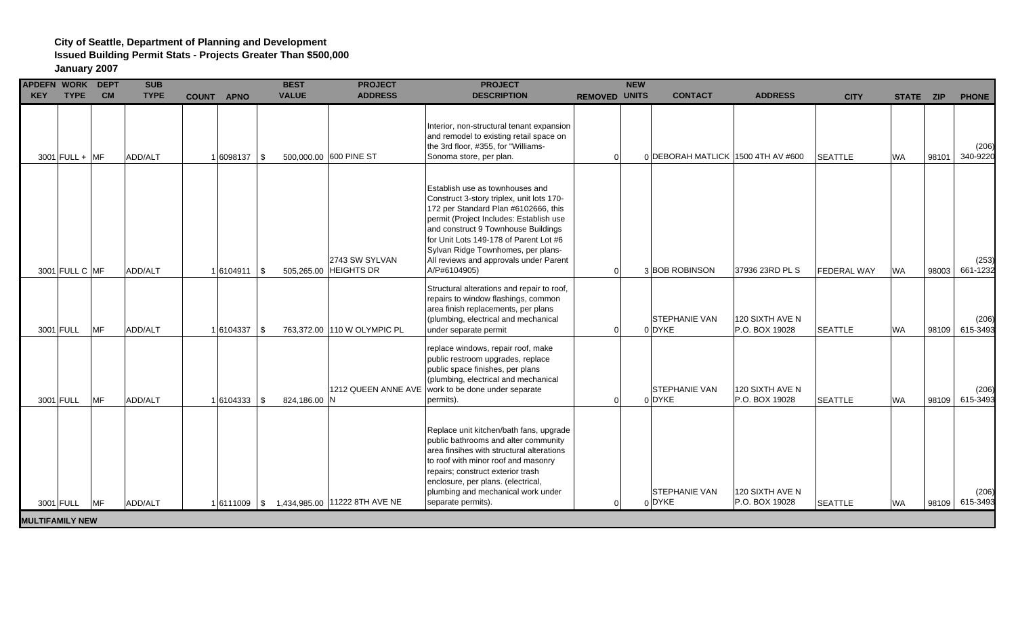| <b>KEY</b> |           | APDEFN WORK DEPT<br><b>TYPE</b> | <b>CM</b> | <b>SUB</b><br><b>TYPE</b> | <b>COUNT APNO</b> | <b>BEST</b><br><b>VALUE</b> | <b>PROJECT</b><br><b>ADDRESS</b>             | <b>PROJECT</b><br><b>DESCRIPTION</b>                                                                                                                                                                                                                                                                                                             | <b>REMOVED</b> | <b>NEW</b><br><b>UNITS</b> | <b>CONTACT</b>                     | <b>ADDRESS</b>                    | <b>CITY</b>        | STATE ZIP |       | <b>PHONE</b>      |
|------------|-----------|---------------------------------|-----------|---------------------------|-------------------|-----------------------------|----------------------------------------------|--------------------------------------------------------------------------------------------------------------------------------------------------------------------------------------------------------------------------------------------------------------------------------------------------------------------------------------------------|----------------|----------------------------|------------------------------------|-----------------------------------|--------------------|-----------|-------|-------------------|
|            |           | $3001$ FULL + MF                |           | ADD/ALT                   | $1 6098137 $ \$   |                             | 500,000.00 600 PINE ST                       | Interior, non-structural tenant expansion<br>and remodel to existing retail space on<br>the 3rd floor, #355, for "Williams-<br>Sonoma store, per plan.                                                                                                                                                                                           |                |                            | 0 DEBORAH MATLICK 1500 4TH AV #600 |                                   | <b>SEATTLE</b>     | <b>WA</b> | 98101 | (206)<br>340-9220 |
|            |           | 3001 FULL C MF                  |           | ADD/ALT                   | $1 6104911 $ \$   |                             | 2743 SW SYLVAN<br>505,265.00 HEIGHTS DR      | Establish use as townhouses and<br>Construct 3-story triplex, unit lots 170-<br>172 per Standard Plan #6102666, this<br>permit (Project Includes: Establish use<br>and construct 9 Townhouse Buildings<br>for Unit Lots 149-178 of Parent Lot #6<br>Sylvan Ridge Townhomes, per plans-<br>All reviews and approvals under Parent<br>A/P#6104905) | $\Omega$       |                            | 3BOB ROBINSON                      | 37936 23RD PL S                   | <b>FEDERAL WAY</b> | <b>WA</b> | 98003 | (253)<br>661-1232 |
|            | 3001 FULL |                                 | <b>MF</b> | ADD/ALT                   | $1 6104337 $ \$   |                             | 763,372.00 110 W OLYMPIC PL                  | Structural alterations and repair to roof,<br>repairs to window flashings, common<br>area finish replacements, per plans<br>(plumbing, electrical and mechanical<br>under separate permit                                                                                                                                                        | $\Omega$       |                            | <b>STEPHANIE VAN</b><br>0 DYKE     | 120 SIXTH AVE N<br>P.O. BOX 19028 | <b>SEATTLE</b>     | <b>WA</b> | 98109 | (206)<br>615-3493 |
|            | 3001 FULL |                                 | <b>MF</b> | ADD/ALT                   | $1 6104333 $ \$   | 824,186.00 N                |                                              | replace windows, repair roof, make<br>public restroom upgrades, replace<br>public space finishes, per plans<br>(plumbing, electrical and mechanical<br>1212 QUEEN ANNE AVE   work to be done under separate<br>permits).                                                                                                                         | $\Omega$       |                            | <b>STEPHANIE VAN</b><br>0 DYKE     | 120 SIXTH AVE N<br>P.O. BOX 19028 | <b>SEATTLE</b>     | <b>WA</b> | 98109 | (206)<br>615-3493 |
|            |           | 3001 FULL MF                    |           | ADD/ALT                   |                   |                             | 1 6111009   \$ 1,434,985.00 11222 8TH AVE NE | Replace unit kitchen/bath fans, upgrade<br>public bathrooms and alter community<br>area finsihes with structural alterations<br>to roof with minor roof and masonry<br>repairs; construct exterior trash<br>enclosure, per plans. (electrical,<br>plumbing and mechanical work under<br>separate permits).                                       | $\Omega$       |                            | <b>STEPHANIE VAN</b><br>$0$ DYKE   | 120 SIXTH AVE N<br>P.O. BOX 19028 | <b>SEATTLE</b>     | <b>WA</b> | 98109 | (206)<br>615-3493 |
|            |           | <b>MULTIFAMILY NEW</b>          |           |                           |                   |                             |                                              |                                                                                                                                                                                                                                                                                                                                                  |                |                            |                                    |                                   |                    |           |       |                   |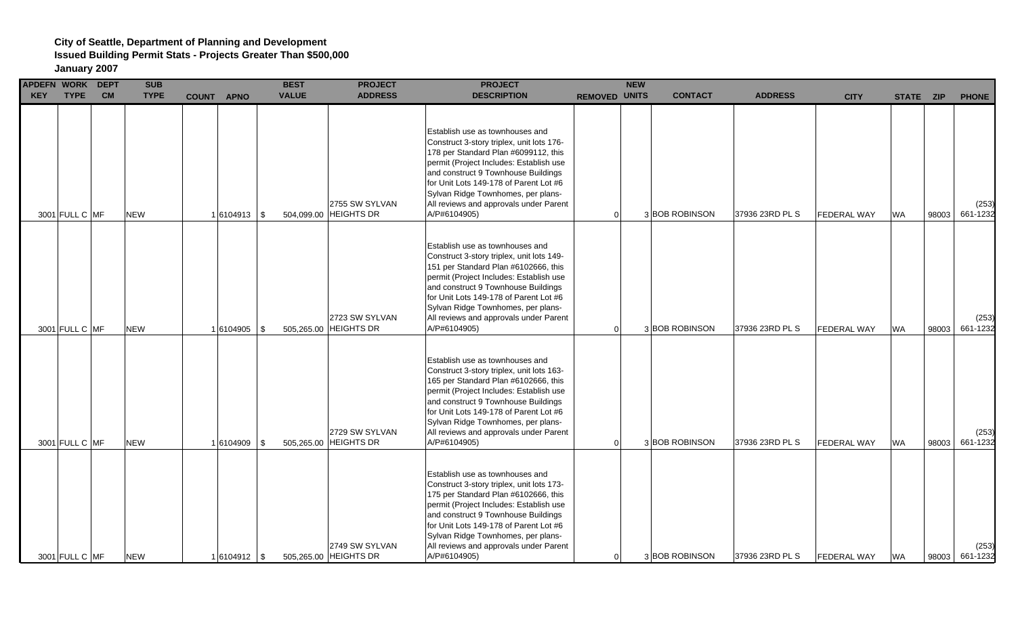| <b>KEY</b> | APDEFN WORK DEPT<br><b>TYPE</b> | <b>CM</b> | <b>SUB</b><br><b>TYPE</b> | COUNT APNO      |      | <b>BEST</b><br><b>VALUE</b> | <b>PROJECT</b><br><b>ADDRESS</b>        | <b>PROJECT</b><br><b>DESCRIPTION</b>                                                                                                                                                                                                                                                                                                             | REMOVED UNITS | <b>NEW</b> | <b>CONTACT</b> | <b>ADDRESS</b>  | <b>CITY</b>        | STATE ZIP |       | <b>PHONE</b>      |
|------------|---------------------------------|-----------|---------------------------|-----------------|------|-----------------------------|-----------------------------------------|--------------------------------------------------------------------------------------------------------------------------------------------------------------------------------------------------------------------------------------------------------------------------------------------------------------------------------------------------|---------------|------------|----------------|-----------------|--------------------|-----------|-------|-------------------|
|            | 3001 FULL C MF                  |           | NEW                       | $1 6104913 $ \$ |      |                             | 2755 SW SYLVAN<br>504,099.00 HEIGHTS DR | Establish use as townhouses and<br>Construct 3-story triplex, unit lots 176-<br>178 per Standard Plan #6099112, this<br>permit (Project Includes: Establish use<br>and construct 9 Townhouse Buildings<br>for Unit Lots 149-178 of Parent Lot #6<br>Sylvan Ridge Townhomes, per plans-<br>All reviews and approvals under Parent<br>A/P#6104905) | $\Omega$      |            | 3 BOB ROBINSON | 37936 23RD PL S | <b>FEDERAL WAY</b> | <b>WA</b> | 98003 | (253)<br>661-1232 |
|            | 3001 FULL C MF                  |           | <b>NEW</b>                | $1 6104905 $ \$ |      |                             | 2723 SW SYLVAN<br>505,265.00 HEIGHTS DR | Establish use as townhouses and<br>Construct 3-story triplex, unit lots 149-<br>151 per Standard Plan #6102666, this<br>permit (Project Includes: Establish use<br>and construct 9 Townhouse Buildings<br>for Unit Lots 149-178 of Parent Lot #6<br>Sylvan Ridge Townhomes, per plans-<br>All reviews and approvals under Parent<br>A/P#6104905) | $\Omega$      |            | 3 BOB ROBINSON | 37936 23RD PL S | <b>FEDERAL WAY</b> | <b>WA</b> | 98003 | (253)<br>661-1232 |
|            | 3001 FULL C MF                  |           | <b>NEW</b>                | 1 6104909       | l \$ |                             | 2729 SW SYLVAN<br>505,265.00 HEIGHTS DR | Establish use as townhouses and<br>Construct 3-story triplex, unit lots 163-<br>165 per Standard Plan #6102666, this<br>permit (Project Includes: Establish use<br>and construct 9 Townhouse Buildings<br>for Unit Lots 149-178 of Parent Lot #6<br>Sylvan Ridge Townhomes, per plans-<br>All reviews and approvals under Parent<br>A/P#6104905) | $\Omega$      |            | 3 BOB ROBINSON | 37936 23RD PL S | FEDERAL WAY        | <b>WA</b> | 98003 | (253)<br>661-1232 |
|            | 3001 FULL C MF                  |           | <b>NEW</b>                | $1 6104912 $ \$ |      |                             | 2749 SW SYLVAN<br>505,265.00 HEIGHTS DR | Establish use as townhouses and<br>Construct 3-story triplex, unit lots 173-<br>175 per Standard Plan #6102666, this<br>permit (Project Includes: Establish use<br>and construct 9 Townhouse Buildings<br>for Unit Lots 149-178 of Parent Lot #6<br>Sylvan Ridge Townhomes, per plans-<br>All reviews and approvals under Parent<br>A/P#6104905) | $\Omega$      |            | 3BOB ROBINSON  | 37936 23RD PL S | <b>FEDERAL WAY</b> | <b>WA</b> | 98003 | (253)<br>661-1232 |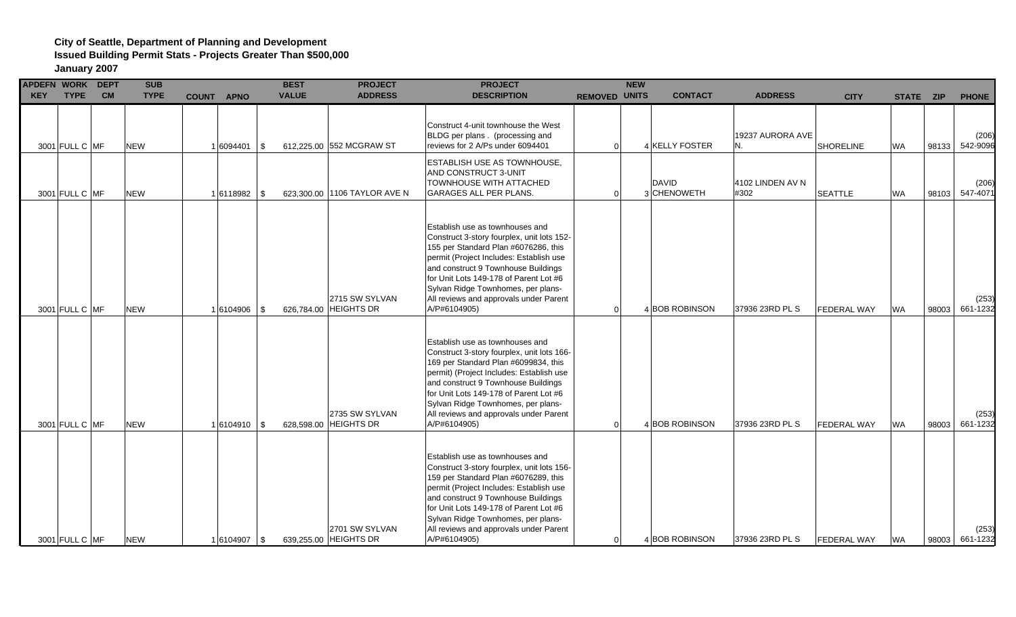# **City of Seattle, Department of Planning and Development**

**Issued Building Permit Stats - Projects Greater Than \$500,000**

| APDEFN WORK DEPT<br><b>KEY</b> | <b>TYPE</b>    | <b>CM</b> | <b>SUB</b><br><b>TYPE</b> | <b>COUNT APNO</b> |      | <b>BEST</b><br><b>VALUE</b> | <b>PROJECT</b><br><b>ADDRESS</b>        | <b>PROJECT</b><br><b>DESCRIPTION</b>                                                                                                                                                                                                                                                                                                               | REMOVED UNITS | <b>NEW</b> | <b>CONTACT</b>              | <b>ADDRESS</b>           | <b>CITY</b>        | STATE ZIP |       | <b>PHONE</b>      |
|--------------------------------|----------------|-----------|---------------------------|-------------------|------|-----------------------------|-----------------------------------------|----------------------------------------------------------------------------------------------------------------------------------------------------------------------------------------------------------------------------------------------------------------------------------------------------------------------------------------------------|---------------|------------|-----------------------------|--------------------------|--------------------|-----------|-------|-------------------|
|                                | 3001 FULL C MF |           | <b>NEW</b>                | 1 6094401         | l \$ |                             | 612,225.00 552 MCGRAW ST                | Construct 4-unit townhouse the West<br>BLDG per plans . (processing and<br>reviews for 2 A/Ps under 6094401                                                                                                                                                                                                                                        | $\Omega$      |            | 4 KELLY FOSTER              | 19237 AURORA AVE<br>N.   | <b>SHORELINE</b>   | <b>WA</b> | 98133 | (206)<br>542-9096 |
|                                | 3001 FULL C MF |           | <b>NEW</b>                | $1 6118982 $ \$   |      |                             | 623,300.00 1106 TAYLOR AVE N            | <b>ESTABLISH USE AS TOWNHOUSE,</b><br>AND CONSTRUCT 3-UNIT<br>TOWNHOUSE WITH ATTACHED<br><b>GARAGES ALL PER PLANS.</b>                                                                                                                                                                                                                             | $\Omega$      |            | <b>DAVID</b><br>3 CHENOWETH | 4102 LINDEN AV N<br>#302 | SEATTLE            | <b>WA</b> | 98103 | (206)<br>547-4071 |
|                                | 3001 FULL C MF |           | <b>NEW</b>                | 16104906          | \$   |                             | 2715 SW SYLVAN<br>626,784.00 HEIGHTS DR | Establish use as townhouses and<br>Construct 3-story fourplex, unit lots 152-<br>155 per Standard Plan #6076286, this<br>permit (Project Includes: Establish use<br>and construct 9 Townhouse Buildings<br>for Unit Lots 149-178 of Parent Lot #6<br>Sylvan Ridge Townhomes, per plans-<br>All reviews and approvals under Parent<br>A/P#6104905)  | $\Omega$      |            | 4 BOB ROBINSON              | 37936 23RD PL S          | <b>FEDERAL WAY</b> | <b>WA</b> | 98003 | (253)<br>661-1232 |
|                                | 3001 FULL C MF |           | <b>NEW</b>                | $1 6104910 $ \$   |      |                             | 2735 SW SYLVAN<br>628,598.00 HEIGHTS DR | Establish use as townhouses and<br>Construct 3-story fourplex, unit lots 166-<br>169 per Standard Plan #6099834, this<br>permit) (Project Includes: Establish use<br>and construct 9 Townhouse Buildings<br>for Unit Lots 149-178 of Parent Lot #6<br>Sylvan Ridge Townhomes, per plans-<br>All reviews and approvals under Parent<br>A/P#6104905) | $\Omega$      |            | 4 BOB ROBINSON              | 37936 23RD PL S          | <b>FEDERAL WAY</b> | <b>WA</b> | 98003 | (253)<br>661-1232 |
|                                | 3001 FULL C MF |           | <b>NEW</b>                | $1 6104907 $ \$   |      |                             | 2701 SW SYLVAN<br>639,255.00 HEIGHTS DR | Establish use as townhouses and<br>Construct 3-story fourplex, unit lots 156-<br>159 per Standard Plan #6076289, this<br>permit (Project Includes: Establish use<br>and construct 9 Townhouse Buildings<br>for Unit Lots 149-178 of Parent Lot #6<br>Sylvan Ridge Townhomes, per plans-<br>All reviews and approvals under Parent<br>A/P#6104905)  | $\Omega$      |            | 4 BOB ROBINSON              | 37936 23RD PL S          | <b>FEDERAL WAY</b> | <b>WA</b> | 98003 | (253)<br>661-1232 |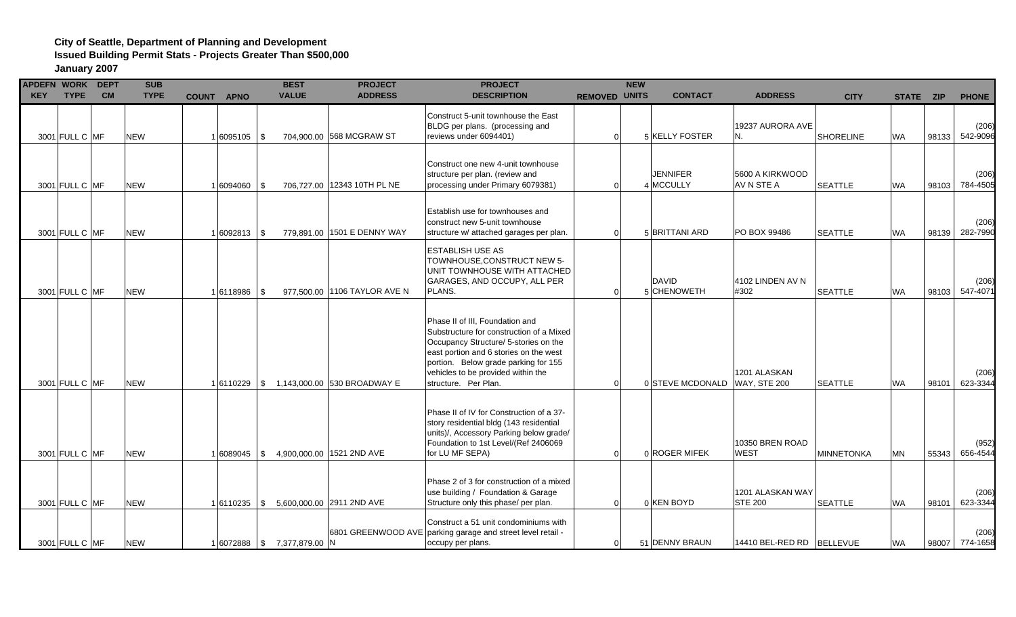| APDEFN WORK DEPT |                |           | <b>SUB</b>  |                   | <b>BEST</b>                  | <b>PROJECT</b>                             | <b>PROJECT</b>                                                                                                                                                                                                                                                       |                      | <b>NEW</b> |                              |                                     |                   |           |       |                         |
|------------------|----------------|-----------|-------------|-------------------|------------------------------|--------------------------------------------|----------------------------------------------------------------------------------------------------------------------------------------------------------------------------------------------------------------------------------------------------------------------|----------------------|------------|------------------------------|-------------------------------------|-------------------|-----------|-------|-------------------------|
| <b>KEY</b>       | <b>TYPE</b>    | <b>CM</b> | <b>TYPE</b> | <b>COUNT APNO</b> | <b>VALUE</b>                 | <b>ADDRESS</b>                             | <b>DESCRIPTION</b>                                                                                                                                                                                                                                                   | <b>REMOVED UNITS</b> |            | <b>CONTACT</b>               | <b>ADDRESS</b>                      | <b>CITY</b>       | STATE ZIP |       | <b>PHONE</b>            |
|                  | 3001 FULL C MF |           | <b>NEW</b>  | 1 6095105 \$      |                              | 704.900.00 568 MCGRAW ST                   | Construct 5-unit townhouse the East<br>BLDG per plans. (processing and<br>reviews under 6094401)                                                                                                                                                                     | $\Omega$             |            | 5 KELLY FOSTER               | 19237 AURORA AVE<br>N.              | <b>SHORELINE</b>  | <b>WA</b> | 98133 | (206)<br>542-9096       |
|                  | 3001 FULL C MF |           | <b>NEW</b>  | 6094060 \$        |                              | 706.727.00 12343 10TH PL NE                | Construct one new 4-unit townhouse<br>structure per plan. (review and<br>processing under Primary 6079381)                                                                                                                                                           | $\Omega$             |            | <b>JENNIFER</b><br>4 MCCULLY | 5600 A KIRKWOOD<br>AV N STE A       | <b>SEATTLE</b>    | <b>WA</b> | 98103 | (206)<br>784-4505       |
|                  | 3001 FULL C MF |           | <b>NEW</b>  | $1 6092813 $ \$   |                              | 779,891.00 1501 E DENNY WAY                | Establish use for townhouses and<br>construct new 5-unit townhouse<br>structure w/ attached garages per plan.                                                                                                                                                        | $\Omega$             |            | 5 BRITTANI ARD               | PO BOX 99486                        | <b>SEATTLE</b>    | <b>WA</b> | 98139 | (206)<br>282-7990       |
|                  | 3001 FULL C MF |           | <b>NEW</b>  | 6118986   \$      |                              | 977,500.00 1106 TAYLOR AVE N               | <b>ESTABLISH USE AS</b><br>TOWNHOUSE, CONSTRUCT NEW 5-<br>UNIT TOWNHOUSE WITH ATTACHED<br>GARAGES, AND OCCUPY, ALL PER<br>PLANS.                                                                                                                                     | $\Omega$             |            | <b>DAVID</b><br>5 CHENOWETH  | 4102 LINDEN AV N<br>#302            | <b>SEATTLE</b>    | <b>WA</b> | 98103 | (206)<br>547-4071       |
|                  | 3001 FULL C MF |           | <b>NEW</b>  |                   |                              | 1 6110229   \$ 1,143,000.00 530 BROADWAY E | Phase II of III. Foundation and<br>Substructure for construction of a Mixed<br>Occupancy Structure/ 5-stories on the<br>east portion and 6 stories on the west<br>portion. Below grade parking for 155<br>vehicles to be provided within the<br>structure. Per Plan. | $\Omega$             |            | 0 STEVE MCDONALD             | 1201 ALASKAN<br><b>WAY, STE 200</b> | <b>SEATTLE</b>    | <b>WA</b> | 98101 | (206)<br>623-3344       |
|                  | 3001 FULL C MF |           | <b>NEW</b>  | 16089045 \$       |                              | 4,900,000.00 1521 2ND AVE                  | Phase II of IV for Construction of a 37-<br>story residential bldg (143 residential<br>units)/, Accessory Parking below grade/<br>Foundation to 1st Level/(Ref 2406069<br>for LU MF SEPA)                                                                            | $\Omega$             |            | 0 ROGER MIFEK                | 10350 BREN ROAD<br><b>WEST</b>      | <b>MINNETONKA</b> | MN        | 55343 | (952)<br>656-4544       |
|                  | 3001 FULL C MF |           | <b>NEW</b>  |                   |                              | 1 6110235   \$ 5,600,000.00 2911 2ND AVE   | Phase 2 of 3 for construction of a mixed<br>use building / Foundation & Garage<br>Structure only this phase/ per plan.                                                                                                                                               | $\Omega$             |            | 0 KEN BOYD                   | 1201 ALASKAN WAY<br><b>STE 200</b>  | <b>SEATTLE</b>    | <b>WA</b> | 98101 | (206)<br>623-3344       |
|                  | 3001 FULL C MF |           | <b>NEW</b>  |                   | 1 6072888   \$7,377,879.00 N |                                            | Construct a 51 unit condominiums with<br>6801 GREENWOOD AVE parking garage and street level retail -<br>occupy per plans.                                                                                                                                            | $\Omega$             |            | 51 DENNY BRAUN               | 14410 BEL-RED RD BELLEVUE           |                   | <b>WA</b> |       | (206)<br>98007 774-1658 |